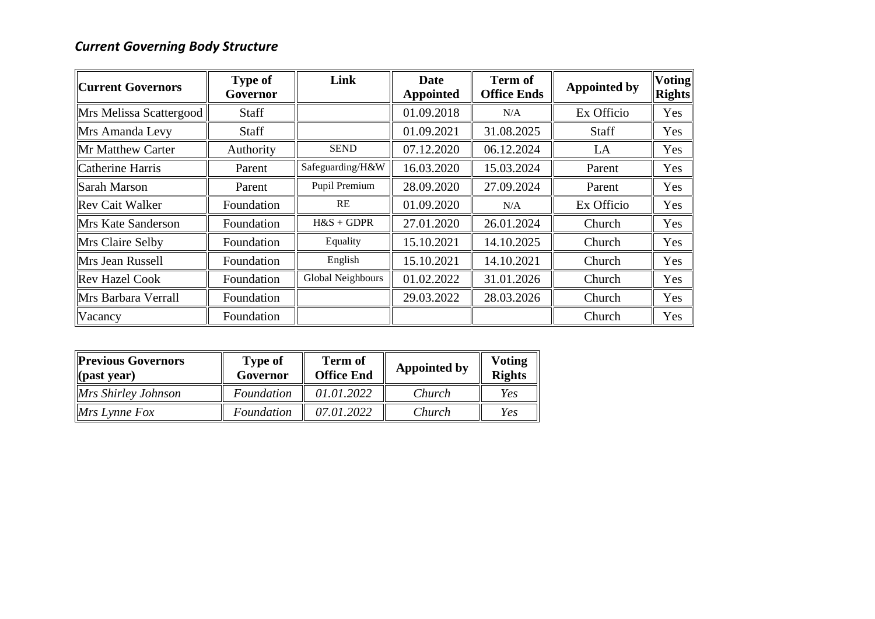## *Current Governing Body Structure*

| <b>Current Governors</b> | <b>Type of</b><br>Governor | Link              | Date<br><b>Appointed</b> | <b>Term of</b><br><b>Office Ends</b> | <b>Appointed by</b> | <b>Voting</b><br><b>Rights</b> |
|--------------------------|----------------------------|-------------------|--------------------------|--------------------------------------|---------------------|--------------------------------|
| Mrs Melissa Scattergood  | Staff                      |                   | 01.09.2018               | N/A                                  | Ex Officio          | Yes                            |
| Mrs Amanda Levy          | Staff                      |                   | 01.09.2021               | 31.08.2025                           | <b>Staff</b>        | Yes                            |
| Mr Matthew Carter        | Authority                  | <b>SEND</b>       | 07.12.2020               | 06.12.2024                           | LA                  | Yes                            |
| Catherine Harris         | Parent                     | Safeguarding/H&W  | 16.03.2020               | 15.03.2024                           | Parent              | Yes                            |
| Sarah Marson             | Parent                     | Pupil Premium     | 28.09.2020               | 27.09.2024                           | Parent              | Yes                            |
| <b>Rev Cait Walker</b>   | Foundation                 | <b>RE</b>         | 01.09.2020               | N/A                                  | Ex Officio          | Yes                            |
| Mrs Kate Sanderson       | Foundation                 | $H&S + GDPR$      | 27.01.2020               | 26.01.2024                           | Church              | Yes                            |
| Mrs Claire Selby         | Foundation                 | Equality          | 15.10.2021               | 14.10.2025                           | Church              | Yes                            |
| Mrs Jean Russell         | Foundation                 | English           | 15.10.2021               | 14.10.2021                           | Church              | Yes                            |
| <b>Rev Hazel Cook</b>    | Foundation                 | Global Neighbours | 01.02.2022               | 31.01.2026                           | Church              | Yes                            |
| Mrs Barbara Verrall      | Foundation                 |                   | 29.03.2022               | 28.03.2026                           | Church              | Yes                            |
| Vacancy                  | Foundation                 |                   |                          |                                      | Church              | Yes                            |

| <b>Previous Governors</b><br>$\ $ (past year) | <b>Type of</b><br>Governor | <b>Term of</b><br><b>Office End</b> | <b>Appointed by</b> | <b>Voting</b><br><b>Rights</b> |
|-----------------------------------------------|----------------------------|-------------------------------------|---------------------|--------------------------------|
| Mrs Shirley Johnson                           | Foundation                 | 01.01.2022                          | Church              | Yes                            |
| $Mrs$ Lynne Fox                               | Foundation                 | 07.01.2022                          | Church              | Yes                            |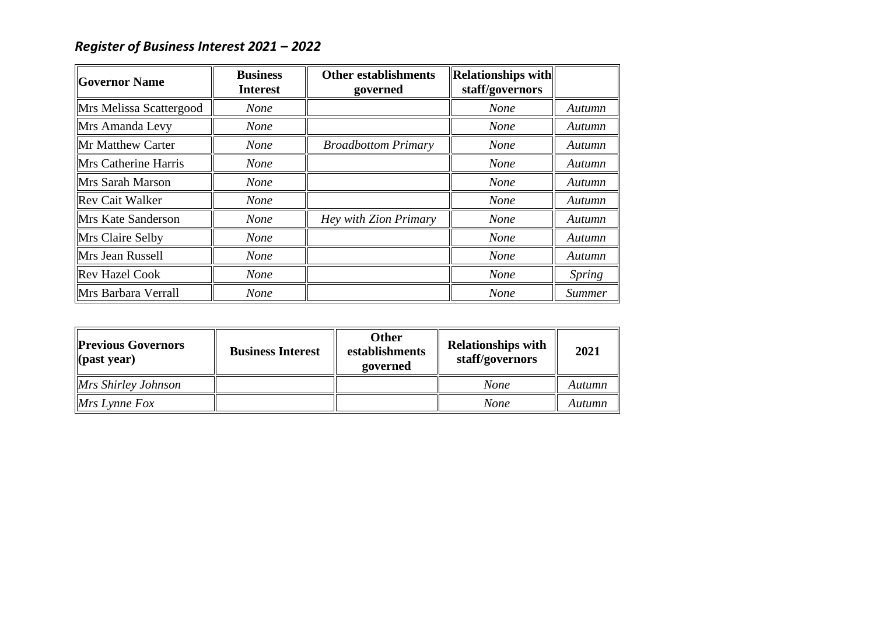## *Register of Business Interest 2021 – 2022*

| <b>Governor Name</b>      | <b>Business</b><br><b>Interest</b> | <b>Other establishments</b><br>governed | <b>Relationships with</b><br>staff/governors |               |
|---------------------------|------------------------------------|-----------------------------------------|----------------------------------------------|---------------|
| Mrs Melissa Scattergood   | <b>None</b>                        |                                         | <b>None</b>                                  | Autumn        |
| Mrs Amanda Levy           | <b>None</b>                        |                                         | <b>None</b>                                  | Autumn        |
| <b>Mr Matthew Carter</b>  | <b>None</b>                        | <b>Broadbottom Primary</b>              | <b>None</b>                                  | Autumn        |
| Mrs Catherine Harris      | <b>None</b>                        |                                         | <b>None</b>                                  | Autumn        |
| Mrs Sarah Marson          | <b>None</b>                        |                                         | <b>None</b>                                  | Autumn        |
| <b>Rev Cait Walker</b>    | <b>None</b>                        |                                         | <b>None</b>                                  | Autumn        |
| <b>Mrs Kate Sanderson</b> | <b>None</b>                        | Hey with Zion Primary                   | <b>None</b>                                  | Autumn        |
| Mrs Claire Selby          | <b>None</b>                        |                                         | <b>None</b>                                  | Autumn        |
| Mrs Jean Russell          | <b>None</b>                        |                                         | <b>None</b>                                  | Autumn        |
| <b>Rev Hazel Cook</b>     | <b>None</b>                        |                                         | <b>None</b>                                  | <i>Spring</i> |
| Mrs Barbara Verrall       | <b>None</b>                        |                                         | <b>None</b>                                  | <b>Summer</b> |

| <b>Previous Governors</b><br>$\ $ (past year) | <b>Business Interest</b> | <b>Other</b><br>establishments<br>governed | <b>Relationships with</b><br>staff/governors | 2021   |
|-----------------------------------------------|--------------------------|--------------------------------------------|----------------------------------------------|--------|
| $Mrs$ Shirley Johnson                         |                          |                                            | None                                         | Autumn |
| $Mrs$ Lynne Fox                               |                          |                                            | None                                         | Autumn |